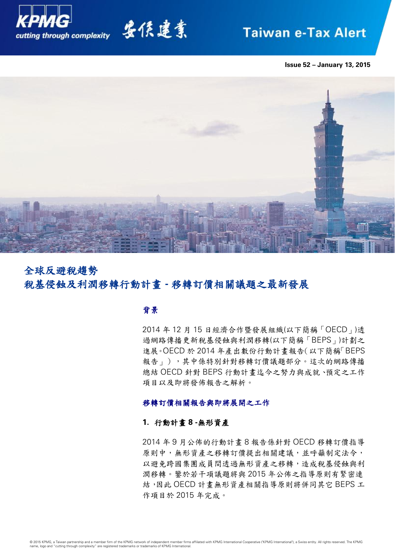

# 安侯建業

## **Taiwan e-Tax Alert**

**Issue 52 – January 13, 2015**



## 全球反避稅趨勢 稅基侵蝕及利潤移轉行動計畫 **-** 移轉訂價相關議題之最新發展

## 背景

2014 年 12 月 15 日經濟合作暨發展組織(以下簡稱「OECD」)透 過網路傳播更新稅基侵蝕與利潤移轉(以下簡稱「BEPS」)計劃之 進展。OECD 於 2014 年產出數份行動計畫報告(以下簡稱「BEPS 報告」),其中係特別針對移轉訂價議題部分。這次的網路傳播 總結 OECD 針對 BEPS 行動計畫迄今之努力與成就、預定之工作 項目以及即將發佈報告之解析。

## 移轉訂價相關報告與即將展開之工作

## **1.** 行動計畫 **8 -**無形資產

2014 年 9 月公佈的行動計畫 8 報告係針對 OECD 移轉訂價指導 原則中,無形資產之移轉訂價提出相關建議,並呼籲制定法令, 以避免跨國集團成員間透過無形資產之移轉,造成稅基侵蝕與利 潤移轉。鑒於若干項議題將與 2015 年公佈之指導原則有緊密連 結,因此 OECD 計畫無形資產相關指導原則將併同其它 BEPS 工 作項目於 2015 年完成。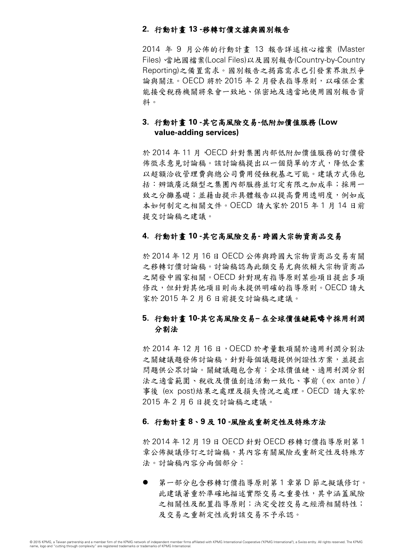## **2.** 行動計畫 **13 -**移轉訂價文據與國別報告

2014 年 9 月公佈的行動計畫 13 報告詳述核心檔案 (Master Files)、當地國檔案(Local Files)以及國別報告(Country-by-Country Reporting)之備置需求。國別報告之揭露需求已引發業界激烈爭 論與關注。OECD 將於 2015 年 2 月發表指導原則, 以確保企業 能接受稅務機關將來會一致地、保密地及適當地使用國別報告資 料。

## **3.** 行動計畫 **10 -**其它高風險交易**-**低附加價值服務 **(Low value-adding services)**

於 2014 年 11 月,OECD 針對集團内部低附加價值服務的訂價發 佈徵求意見討論稿。該討論稿提出以一個簡單的方式,降低企業 以超額洽收管理費與總公司費用侵蝕稅基之可能。建議方式係包 括:辨識廣泛類型之集團內部服務並訂定有限之加成率;採用一 致之分攤基礎;並藉由提示具體報告以提高費用透明度,例如成 本如何制定之相關文件。OECD 請大家於 2015 年 1 月 14 日前 提交討論稿之建議。

## **4.** 行動計畫 **10 -**其它高風險交易**-** 跨國大宗物資商品交易

於 2014 年 12 月 16 日 OECD 公佈與跨國大宗物資商品交易有關 之移轉訂價討論稿。討論稿認為此類交易尤與依賴大宗物資商品 之開發中國家相關。OECD 針對現有指導原則某些項目提出多項 修改,但針對其他項目則尚未提供明確的指導原則。OECD 請大 家於 2015 年 2 月 6 日前提交討論稿之建議。

## **5.** 行動計畫 **10-**其它高風險交易**–** 在全球價值鏈範疇中採用利潤 分割法

於 2014年12月16日, OECD於考量數項關於適用利潤分割法 之關鍵議題發佈討論稿,針對每個議題提供例證性方案,並提出 問題供公眾討論。關鍵議題包含有:全球價值鏈、適用利潤分割 法之適當範圍、稅收及價值創造活動一致化、事前(ex ante)/ 事後 (ex post)結果之處理及損失情況之處理。OECD 請大家於 2015 年 2 月 6 日提交討論稿之建議。

## **6.** 行動計畫 **8**、**9** 及 **10 -**風險或重新定性及特殊方法

於 2014 年 12 月 19 日 OECD 針對 OECD 移轉訂價指導原則第 1 章公佈擬議修訂之討論稿,其內容有關風險或重新定性及特殊方 法。討論稿內容分兩個部分:

 第一部分包含移轉訂價指導原則第 1 章第 D 節之擬議修訂。 此建議著重於準確地描述實際交易之重要性,其中涵蓋風險 之相關性及配置指導原則;決定受控交易之經濟相關特性; 及交易之重新定性或對該交易不予承認。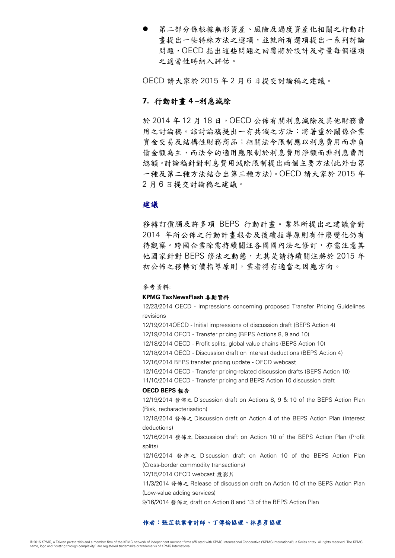第二部分係根據無形資產、風險及過度資產化相關之行動計 畫提出一些特殊方法之選項,並就所有選項提出一系列討論 問題,OECD 指出這些問題之回覆將於設計及考量每個選項 之適當性時納入評估。

OECD 請大家於 2015 年 2 月 6 日提交討論稿之建議。

## **7.** 行動計畫 **4 –**利息減除

於 2014 年 12 月 18 日,OECD 公佈有關利息減除及其他財務費 用之討論稿。該討論稿提出一有共識之方法:將著重於關係企業 資金交易及結構性財務商品;相關法令限制應以利息費用而非負 債金額為主,而法令的適用應限制於利息費用淨額而非利息費用 總額。討論稿針對利息費用減除限制提出兩個主要方法(此外由第 一種及第二種方法結合出第三種方法)。OECD 請大家於 2015 年 2 月 6 日提交討論稿之建議。

## 建議

移轉訂價觸及許多項 BEPS 行動計畫。業界所提出之建議會對 2014 年所公佈之行動計畫報告及後續指導原則有什麼變化仍有 待觀察。跨國企業除需持續關注各國國內法之修訂,亦需注意其 他國家針對 BEPS 修法之動態,尤其是請持續關注將於 2015 年 初公佈之移轉訂價指導原則,業者得有適當之因應方向。

## 參考資料:

#### **KPMG TaxNewsFlash** 各期資料

12/23/2014 OECD - Impressions concerning proposed Transfer Pricing Guidelines revisions

12/19/2014OECD - Initial impressions of discussion draft (BEPS Action 4)

12/19/2014 OECD - Transfer pricing (BEPS Actions 8, 9 and 10)

12/18/2014 OECD - Profit splits, global value chains (BEPS Action 10)

12/18/2014 OECD - Discussion draft on interest deductions (BEPS Action 4)

12/16/2014 BEPS transfer pricing update - OECD webcast

12/16/2014 OECD - Transfer pricing-related discussion drafts (BEPS Action 10)

11/10/2014 OECD - Transfer pricing and BEPS Action 10 discussion draft

## **OECD BEPS** 報告

12/19/2014 發佈之 Discussion draft on Actions 8, 9 & 10 of the BEPS Action Plan (Risk, recharacterisation)

12/18/2014 發佈之 Discussion draft on Action 4 of the BEPS Action Plan (Interest deductions)

12/16/2014 發佈之 Discussion draft on Action 10 of the BEPS Action Plan (Profit splits)

12/16/2014 發佈之 Discussion draft on Action 10 of the BEPS Action Plan (Cross-border commodity transactions)

12/15/2014 OECD webcast 投影片

11/3/2014 發佈之 Release of discussion draft on Action 10 of the BEPS Action Plan (Low-value adding services)

9/16/2014 發佈之 draft on Action 8 and 13 of the BEPS Action Plan

### 作者:張芷執業會計師、丁傳倫協理、林嘉彥協理